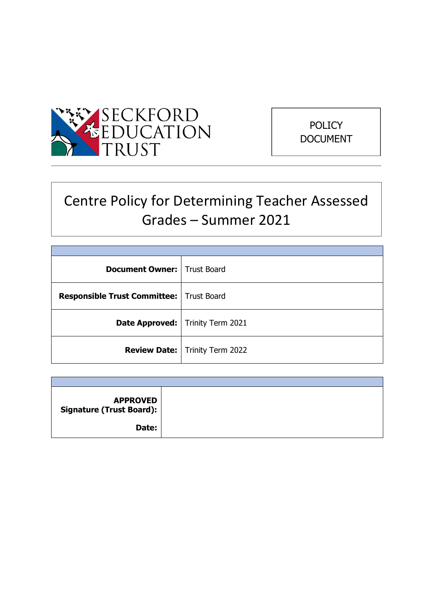



# Centre Policy for Determining Teacher Assessed Grades – Summer 2021

| <b>Document Owner:   Trust Board</b>              |                                           |
|---------------------------------------------------|-------------------------------------------|
| <b>Responsible Trust Committee:   Trust Board</b> |                                           |
|                                                   | <b>Date Approved:</b>   Trinity Term 2021 |
|                                                   | <b>Review Date:</b>   Trinity Term 2022   |

| <b>APPROVED</b><br>Signature (Trust Board): |  |
|---------------------------------------------|--|
| Date:                                       |  |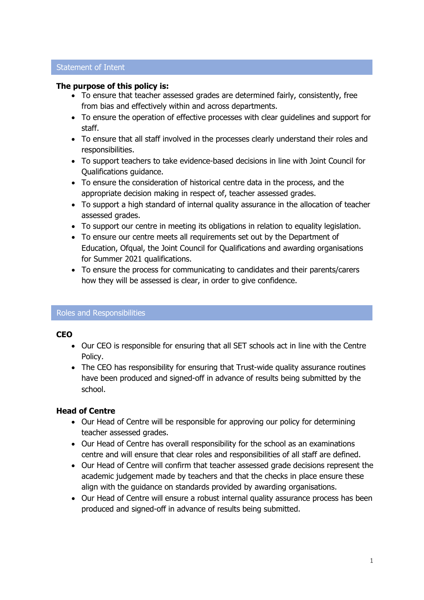#### Statement of Intent

#### **The purpose of this policy is:**

- To ensure that teacher assessed grades are determined fairly, consistently, free from bias and effectively within and across departments.
- To ensure the operation of effective processes with clear guidelines and support for staff.
- To ensure that all staff involved in the processes clearly understand their roles and responsibilities.
- To support teachers to take evidence-based decisions in line with Joint Council for Qualifications guidance.
- To ensure the consideration of historical centre data in the process, and the appropriate decision making in respect of, teacher assessed grades.
- To support a high standard of internal quality assurance in the allocation of teacher assessed grades.
- To support our centre in meeting its obligations in relation to equality legislation.
- To ensure our centre meets all requirements set out by the Department of Education, Ofqual, the Joint Council for Qualifications and awarding organisations for Summer 2021 qualifications.
- To ensure the process for communicating to candidates and their parents/carers how they will be assessed is clear, in order to give confidence.

#### Roles and Responsibilities

## **CEO**

- Our CEO is responsible for ensuring that all SET schools act in line with the Centre Policy.
- The CEO has responsibility for ensuring that Trust-wide quality assurance routines have been produced and signed-off in advance of results being submitted by the school.

## **Head of Centre**

- Our Head of Centre will be responsible for approving our policy for determining teacher assessed grades.
- Our Head of Centre has overall responsibility for the school as an examinations centre and will ensure that clear roles and responsibilities of all staff are defined.
- Our Head of Centre will confirm that teacher assessed grade decisions represent the academic judgement made by teachers and that the checks in place ensure these align with the guidance on standards provided by awarding organisations.
- Our Head of Centre will ensure a robust internal quality assurance process has been produced and signed-off in advance of results being submitted.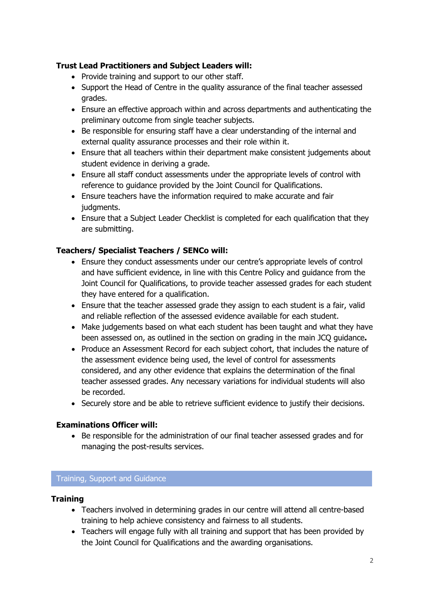## **Trust Lead Practitioners and Subject Leaders will:**

- Provide training and support to our other staff.
- Support the Head of Centre in the quality assurance of the final teacher assessed grades.
- Ensure an effective approach within and across departments and authenticating the preliminary outcome from single teacher subjects.
- Be responsible for ensuring staff have a clear understanding of the internal and external quality assurance processes and their role within it.
- Ensure that all teachers within their department make consistent judgements about student evidence in deriving a grade.
- Ensure all staff conduct assessments under the appropriate levels of control with reference to guidance provided by the Joint Council for Qualifications.
- Ensure teachers have the information required to make accurate and fair judgments.
- Ensure that a Subject Leader Checklist is completed for each qualification that they are submitting.

## **Teachers/ Specialist Teachers / SENCo will:**

- Ensure they conduct assessments under our centre's appropriate levels of control and have sufficient evidence, in line with this Centre Policy and guidance from the Joint Council for Qualifications, to provide teacher assessed grades for each student they have entered for a qualification.
- Ensure that the teacher assessed grade they assign to each student is a fair, valid and reliable reflection of the assessed evidence available for each student.
- Make judgements based on what each student has been taught and what they have been assessed on, as outlined in the section on grading in the main JCQ guidance**.**
- Produce an Assessment Record for each subject cohort, that includes the nature of the assessment evidence being used, the level of control for assessments considered, and any other evidence that explains the determination of the final teacher assessed grades. Any necessary variations for individual students will also be recorded.
- Securely store and be able to retrieve sufficient evidence to justify their decisions.

## **Examinations Officer will:**

• Be responsible for the administration of our final teacher assessed grades and for managing the post-results services.

## Training, Support and Guidance

## **Training**

- Teachers involved in determining grades in our centre will attend all centre-based training to help achieve consistency and fairness to all students.
- Teachers will engage fully with all training and support that has been provided by the Joint Council for Qualifications and the awarding organisations.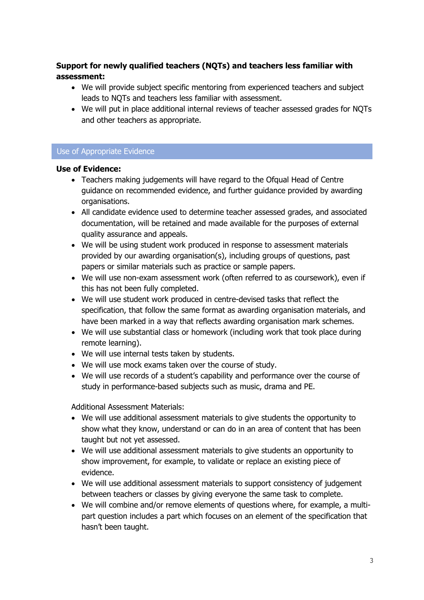# **Support for newly qualified teachers (NQTs) and teachers less familiar with assessment:**

- We will provide subject specific mentoring from experienced teachers and subject leads to NQTs and teachers less familiar with assessment.
- We will put in place additional internal reviews of teacher assessed grades for NQTs and other teachers as appropriate.

## Use of Appropriate Evidence

## **Use of Evidence:**

- Teachers making judgements will have regard to the Ofqual Head of Centre guidance on recommended evidence, and further guidance provided by awarding organisations.
- All candidate evidence used to determine teacher assessed grades, and associated documentation, will be retained and made available for the purposes of external quality assurance and appeals.
- We will be using student work produced in response to assessment materials provided by our awarding organisation(s), including groups of questions, past papers or similar materials such as practice or sample papers.
- We will use non-exam assessment work (often referred to as coursework), even if this has not been fully completed.
- We will use student work produced in centre-devised tasks that reflect the specification, that follow the same format as awarding organisation materials, and have been marked in a way that reflects awarding organisation mark schemes.
- We will use substantial class or homework (including work that took place during remote learning).
- We will use internal tests taken by students.
- We will use mock exams taken over the course of study.
- We will use records of a student's capability and performance over the course of study in performance-based subjects such as music, drama and PE.

Additional Assessment Materials:

- We will use additional assessment materials to give students the opportunity to show what they know, understand or can do in an area of content that has been taught but not yet assessed.
- We will use additional assessment materials to give students an opportunity to show improvement, for example, to validate or replace an existing piece of evidence.
- We will use additional assessment materials to support consistency of judgement between teachers or classes by giving everyone the same task to complete.
- We will combine and/or remove elements of questions where, for example, a multipart question includes a part which focuses on an element of the specification that hasn't been taught.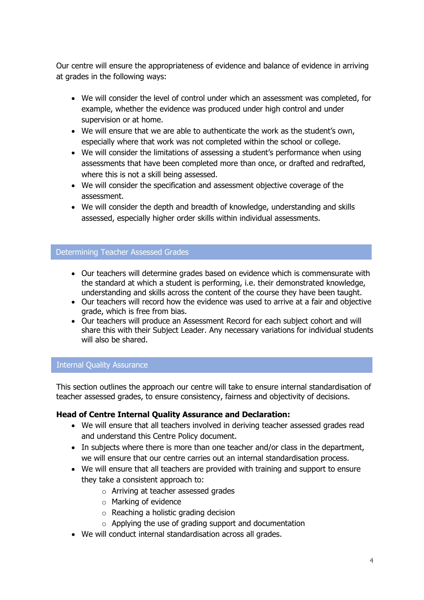Our centre will ensure the appropriateness of evidence and balance of evidence in arriving at grades in the following ways:

- We will consider the level of control under which an assessment was completed, for example, whether the evidence was produced under high control and under supervision or at home.
- We will ensure that we are able to authenticate the work as the student's own, especially where that work was not completed within the school or college.
- We will consider the limitations of assessing a student's performance when using assessments that have been completed more than once, or drafted and redrafted, where this is not a skill being assessed.
- We will consider the specification and assessment objective coverage of the assessment.
- We will consider the depth and breadth of knowledge, understanding and skills assessed, especially higher order skills within individual assessments.

#### Determining Teacher Assessed Grades

- Our teachers will determine grades based on evidence which is commensurate with the standard at which a student is performing, i.e. their demonstrated knowledge, understanding and skills across the content of the course they have been taught.
- Our teachers will record how the evidence was used to arrive at a fair and objective grade, which is free from bias.
- Our teachers will produce an Assessment Record for each subject cohort and will share this with their Subject Leader. Any necessary variations for individual students will also be shared.

#### Internal Quality Assurance

This section outlines the approach our centre will take to ensure internal standardisation of teacher assessed grades, to ensure consistency, fairness and objectivity of decisions.

## **Head of Centre Internal Quality Assurance and Declaration:**

- We will ensure that all teachers involved in deriving teacher assessed grades read and understand this Centre Policy document.
- In subjects where there is more than one teacher and/or class in the department, we will ensure that our centre carries out an internal standardisation process.
- We will ensure that all teachers are provided with training and support to ensure they take a consistent approach to:
	- o Arriving at teacher assessed grades
	- o Marking of evidence
	- o Reaching a holistic grading decision
	- o Applying the use of grading support and documentation
- We will conduct internal standardisation across all grades.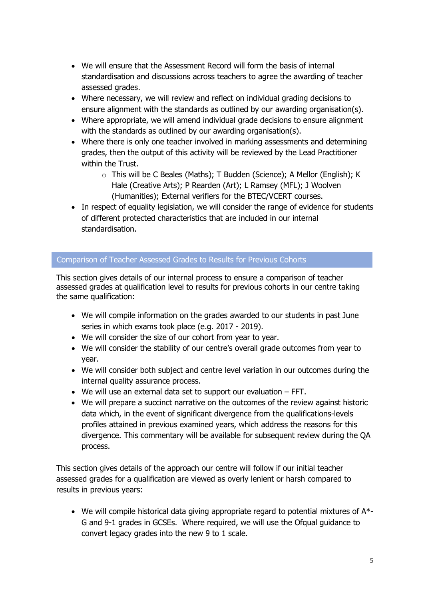- We will ensure that the Assessment Record will form the basis of internal standardisation and discussions across teachers to agree the awarding of teacher assessed grades.
- Where necessary, we will review and reflect on individual grading decisions to ensure alignment with the standards as outlined by our awarding organisation(s).
- Where appropriate, we will amend individual grade decisions to ensure alignment with the standards as outlined by our awarding organisation(s).
- Where there is only one teacher involved in marking assessments and determining grades, then the output of this activity will be reviewed by the Lead Practitioner within the Trust.
	- o This will be C Beales (Maths); T Budden (Science); A Mellor (English); K Hale (Creative Arts); P Rearden (Art); L Ramsey (MFL); J Woolven (Humanities); External verifiers for the BTEC/VCERT courses.
- In respect of equality legislation, we will consider the range of evidence for students of different protected characteristics that are included in our internal standardisation.

## Comparison of Teacher Assessed Grades to Results for Previous Cohorts

This section gives details of our internal process to ensure a comparison of teacher assessed grades at qualification level to results for previous cohorts in our centre taking the same qualification:

- We will compile information on the grades awarded to our students in past June series in which exams took place (e.g. 2017 - 2019).
- We will consider the size of our cohort from year to year.
- We will consider the stability of our centre's overall grade outcomes from year to year.
- We will consider both subject and centre level variation in our outcomes during the internal quality assurance process.
- We will use an external data set to support our evaluation FFT.
- We will prepare a succinct narrative on the outcomes of the review against historic data which, in the event of significant divergence from the qualifications-levels profiles attained in previous examined years, which address the reasons for this divergence. This commentary will be available for subsequent review during the QA process.

This section gives details of the approach our centre will follow if our initial teacher assessed grades for a qualification are viewed as overly lenient or harsh compared to results in previous years:

• We will compile historical data giving appropriate regard to potential mixtures of A\*- G and 9-1 grades in GCSEs. Where required, we will use the Ofqual guidance to convert legacy grades into the new 9 to 1 scale.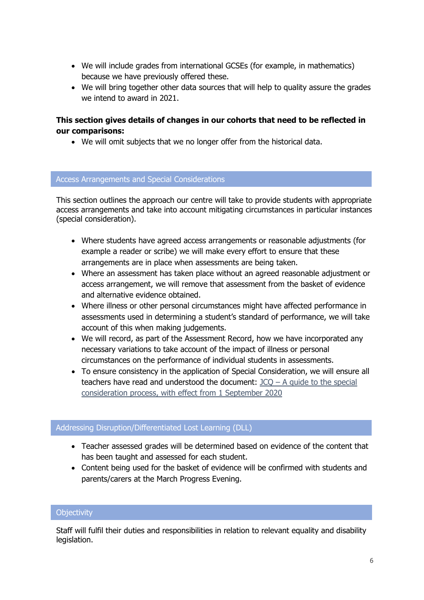- We will include grades from international GCSEs (for example, in mathematics) because we have previously offered these.
- We will bring together other data sources that will help to quality assure the grades we intend to award in 2021.

## **This section gives details of changes in our cohorts that need to be reflected in our comparisons:**

• We will omit subjects that we no longer offer from the historical data.

#### Access Arrangements and Special Considerations

This section outlines the approach our centre will take to provide students with appropriate access arrangements and take into account mitigating circumstances in particular instances (special consideration).

- Where students have agreed access arrangements or reasonable adjustments (for example a reader or scribe) we will make every effort to ensure that these arrangements are in place when assessments are being taken.
- Where an assessment has taken place without an agreed reasonable adjustment or access arrangement, we will remove that assessment from the basket of evidence and alternative evidence obtained.
- Where illness or other personal circumstances might have affected performance in assessments used in determining a student's standard of performance, we will take account of this when making judgements.
- We will record, as part of the Assessment Record, how we have incorporated any necessary variations to take account of the impact of illness or personal circumstances on the performance of individual students in assessments.
- To ensure consistency in the application of Special Consideration, we will ensure all teachers have read and understood the document:  $JCQ - A$  guide to the special [consideration process, with effect from 1 September 2020](https://www.jcq.org.uk/wp-content/uploads/2020/08/A-guide-to-the-spec-con-process-202021-Website-version.pdf)

## Addressing Disruption/Differentiated Lost Learning (DLL)

- Teacher assessed grades will be determined based on evidence of the content that has been taught and assessed for each student.
- Content being used for the basket of evidence will be confirmed with students and parents/carers at the March Progress Evening.

## **Objectivity**

Staff will fulfil their duties and responsibilities in relation to relevant equality and disability legislation.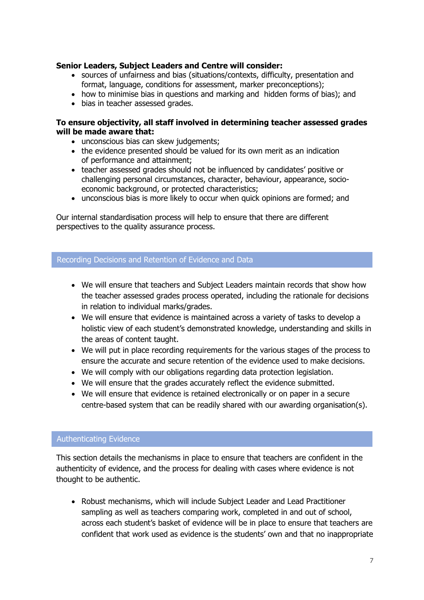## **Senior Leaders, Subject Leaders and Centre will consider:**

- sources of unfairness and bias (situations/contexts, difficulty, presentation and format, language, conditions for assessment, marker preconceptions);
- how to minimise bias in questions and marking and hidden forms of bias); and
- bias in teacher assessed grades.

#### **To ensure objectivity, all staff involved in determining teacher assessed grades will be made aware that:**

- unconscious bias can skew judgements;
- the evidence presented should be valued for its own merit as an indication of performance and attainment;
- teacher assessed grades should not be influenced by candidates' positive or challenging personal circumstances, character, behaviour, appearance, socioeconomic background, or protected characteristics;
- unconscious bias is more likely to occur when quick opinions are formed; and

Our internal standardisation process will help to ensure that there are different perspectives to the quality assurance process.

#### Recording Decisions and Retention of Evidence and Data

- We will ensure that teachers and Subject Leaders maintain records that show how the teacher assessed grades process operated, including the rationale for decisions in relation to individual marks/grades.
- We will ensure that evidence is maintained across a variety of tasks to develop a holistic view of each student's demonstrated knowledge, understanding and skills in the areas of content taught.
- We will put in place recording requirements for the various stages of the process to ensure the accurate and secure retention of the evidence used to make decisions.
- We will comply with our obligations regarding data protection legislation.
- We will ensure that the grades accurately reflect the evidence submitted.
- We will ensure that evidence is retained electronically or on paper in a secure centre-based system that can be readily shared with our awarding organisation(s).

#### Authenticating Evidence

This section details the mechanisms in place to ensure that teachers are confident in the authenticity of evidence, and the process for dealing with cases where evidence is not thought to be authentic.

• Robust mechanisms, which will include Subject Leader and Lead Practitioner sampling as well as teachers comparing work, completed in and out of school, across each student's basket of evidence will be in place to ensure that teachers are confident that work used as evidence is the students' own and that no inappropriate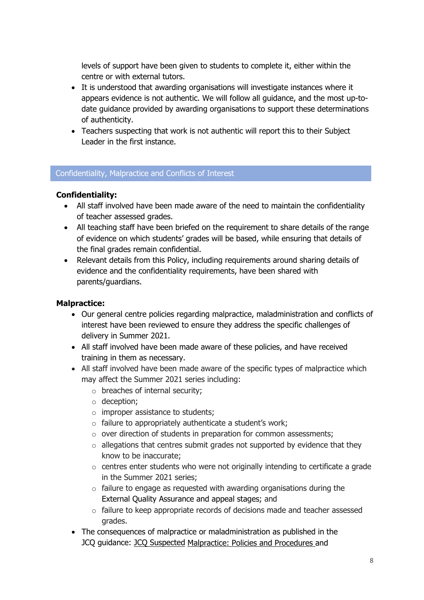levels of support have been given to students to complete it, either within the centre or with external tutors.

- It is understood that awarding organisations will investigate instances where it appears evidence is not authentic. We will follow all guidance, and the most up-todate guidance provided by awarding organisations to support these determinations of authenticity.
- Teachers suspecting that work is not authentic will report this to their Subject Leader in the first instance.

## Confidentiality, Malpractice and Conflicts of Interest

## **Confidentiality:**

- All staff involved have been made aware of the need to maintain the confidentiality of teacher assessed grades.
- All teaching staff have been briefed on the requirement to share details of the range of evidence on which students' grades will be based, while ensuring that details of the final grades remain confidential.
- Relevant details from this Policy, including requirements around sharing details of evidence and the confidentiality requirements, have been shared with parents/guardians.

## **Malpractice:**

- Our general centre policies regarding malpractice, maladministration and conflicts of interest have been reviewed to ensure they address the specific challenges of delivery in Summer 2021.
- All staff involved have been made aware of these policies, and have received training in them as necessary.
- All staff involved have been made aware of the specific types of malpractice which may affect the Summer 2021 series including:
	- o breaches of internal security;
	- o deception;
	- $\circ$  improper assistance to students;
	- o failure to appropriately authenticate a student's work;
	- o over direction of students in preparation for common assessments;
	- $\circ$  allegations that centres submit grades not supported by evidence that they know to be inaccurate;
	- o centres enter students who were not originally intending to certificate a grade in the Summer 2021 series;
	- $\circ$  failure to engage as requested with awarding organisations during the External Quality Assurance and appeal stages; and
	- o failure to keep appropriate records of decisions made and teacher assessed grades.
- The consequences of malpractice or maladministration as published in the JCQ guidance: [JCQ Suspected](https://www.jcq.org.uk/exams-office/malpractice/jcq-suspected-malpractice-policies-and-procedures-2019-2020) Malpractice: Policies and Procedures and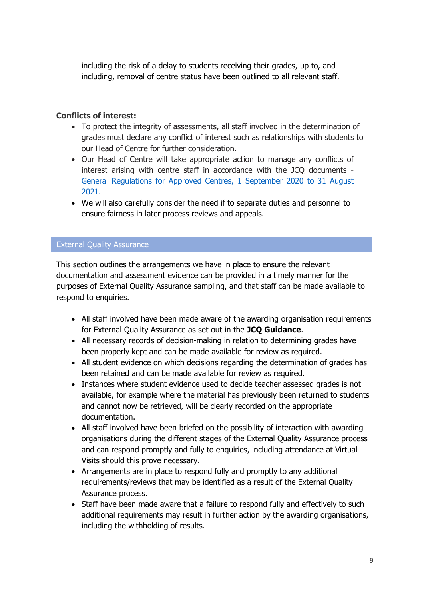including the risk of a delay to students receiving their grades, up to, and including, removal of centre status have been outlined to all relevant staff.

## **Conflicts of interest:**

- To protect the integrity of assessments, all staff involved in the determination of grades must declare any conflict of interest such as relationships with students to our Head of Centre for further consideration.
- Our Head of Centre will take appropriate action to manage any conflicts of interest arising with centre staff in accordance with the JCQ documents - [General Regulations for Approved Centres, 1 September 2020 to 31 August](https://www.jcq.org.uk/wp-content/uploads/2020/09/Gen_regs_approved_centres_20-21_FINAL.pdf)  [2021.](https://www.jcq.org.uk/wp-content/uploads/2020/09/Gen_regs_approved_centres_20-21_FINAL.pdf)
- We will also carefully consider the need if to separate duties and personnel to ensure fairness in later process reviews and appeals.

## External Quality Assurance

This section outlines the arrangements we have in place to ensure the relevant documentation and assessment evidence can be provided in a timely manner for the purposes of External Quality Assurance sampling, and that staff can be made available to respond to enquiries.

- All staff involved have been made aware of the awarding organisation requirements for External Quality Assurance as set out in the **JCQ Guidance**.
- All necessary records of decision-making in relation to determining grades have been properly kept and can be made available for review as required.
- All student evidence on which decisions regarding the determination of grades has been retained and can be made available for review as required.
- Instances where student evidence used to decide teacher assessed grades is not available, for example where the material has previously been returned to students and cannot now be retrieved, will be clearly recorded on the appropriate documentation.
- All staff involved have been briefed on the possibility of interaction with awarding organisations during the different stages of the External Quality Assurance process and can respond promptly and fully to enquiries, including attendance at Virtual Visits should this prove necessary.
- Arrangements are in place to respond fully and promptly to any additional requirements/reviews that may be identified as a result of the External Quality Assurance process.
- Staff have been made aware that a failure to respond fully and effectively to such additional requirements may result in further action by the awarding organisations, including the withholding of results.